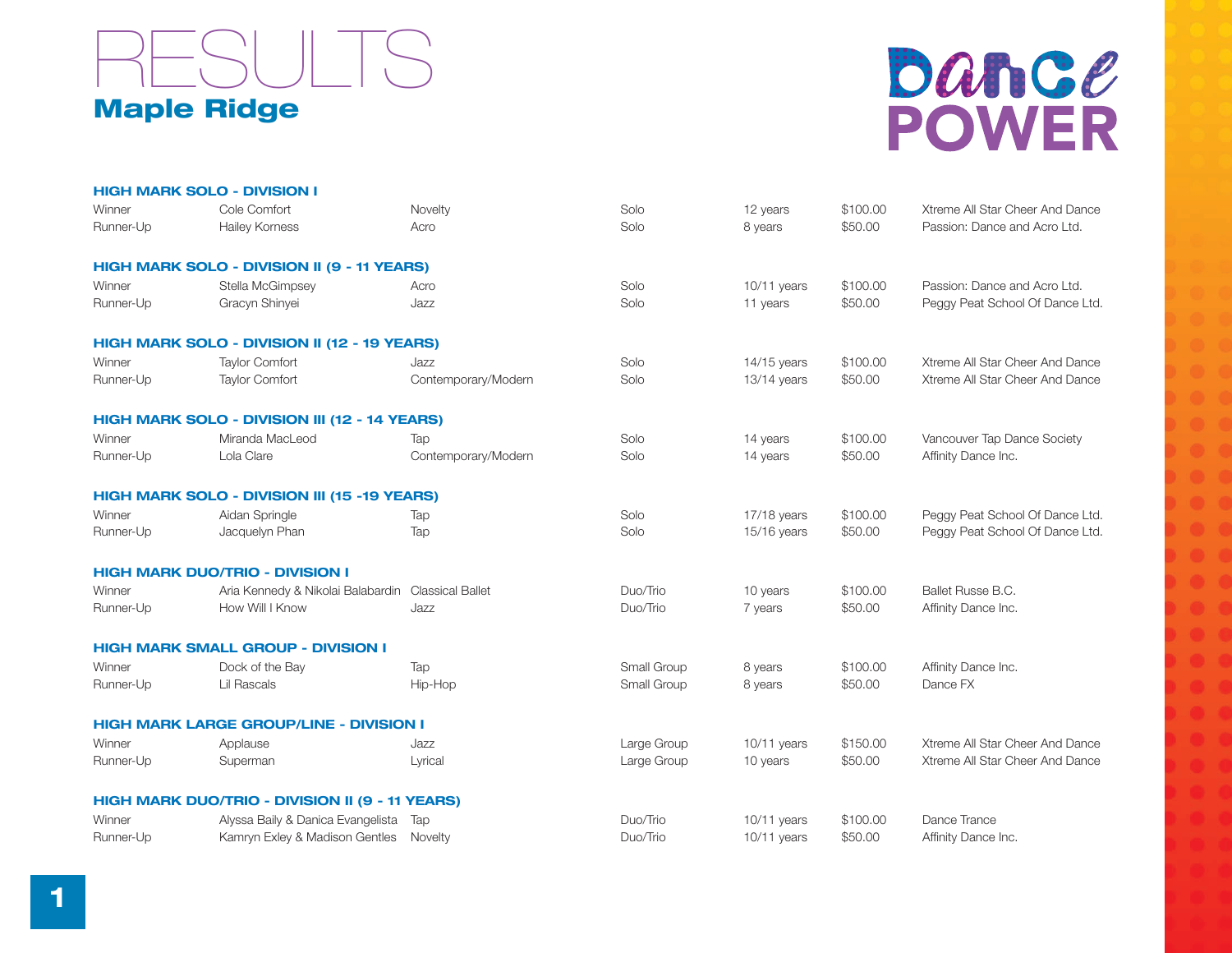

# bance **POWER**

|           | <b>HIGH MARK SOLO - DIVISION I</b>                 |                     |             |               |          |                                 |
|-----------|----------------------------------------------------|---------------------|-------------|---------------|----------|---------------------------------|
| Winner    | Cole Comfort                                       | Novelty             | Solo        | 12 years      | \$100.00 | Xtreme All Star Cheer And Dance |
| Runner-Up | <b>Hailey Korness</b>                              | Acro                | Solo        | 8 years       | \$50.00  | Passion: Dance and Acro Ltd.    |
|           | <b>HIGH MARK SOLO - DIVISION II (9 - 11 YEARS)</b> |                     |             |               |          |                                 |
| Winner    | Stella McGimpsey                                   | Acro                | Solo        | $10/11$ years | \$100.00 | Passion: Dance and Acro Ltd.    |
| Runner-Up | Gracyn Shinyei                                     | Jazz                | Solo        | 11 years      | \$50.00  | Peggy Peat School Of Dance Ltd. |
|           | HIGH MARK SOLO - DIVISION II (12 - 19 YEARS)       |                     |             |               |          |                                 |
| Winner    | <b>Taylor Comfort</b>                              | Jazz                | Solo        | $14/15$ years | \$100.00 | Xtreme All Star Cheer And Dance |
| Runner-Up | <b>Taylor Comfort</b>                              | Contemporary/Modern | Solo        | $13/14$ years | \$50.00  | Xtreme All Star Cheer And Dance |
|           | HIGH MARK SOLO - DIVISION III (12 - 14 YEARS)      |                     |             |               |          |                                 |
| Winner    | Miranda MacLeod                                    | Tap                 | Solo        | 14 years      | \$100.00 | Vancouver Tap Dance Society     |
| Runner-Up | Lola Clare                                         | Contemporary/Modern | Solo        | 14 years      | \$50.00  | Affinity Dance Inc.             |
|           | HIGH MARK SOLO - DIVISION III (15 -19 YEARS)       |                     |             |               |          |                                 |
| Winner    | Aidan Springle                                     | Tap                 | Solo        | 17/18 years   | \$100.00 | Peggy Peat School Of Dance Ltd. |
| Runner-Up | Jacquelyn Phan                                     | Tap                 | Solo        | 15/16 years   | \$50.00  | Peggy Peat School Of Dance Ltd. |
|           | <b>HIGH MARK DUO/TRIO - DIVISION I</b>             |                     |             |               |          |                                 |
| Winner    | Aria Kennedy & Nikolai Balabardin Classical Ballet |                     | Duo/Trio    | 10 years      | \$100.00 | Ballet Russe B.C.               |
| Runner-Up | How Will I Know                                    | Jazz                | Duo/Trio    | 7 years       | \$50.00  | Affinity Dance Inc.             |
|           | <b>HIGH MARK SMALL GROUP - DIVISION I</b>          |                     |             |               |          |                                 |
| Winner    | Dock of the Bay                                    | Tap                 | Small Group | 8 years       | \$100.00 | Affinity Dance Inc.             |
| Runner-Up | Lil Rascals                                        | Hip-Hop             | Small Group | 8 years       | \$50.00  | Dance FX                        |
|           | <b>HIGH MARK LARGE GROUP/LINE - DIVISION I</b>     |                     |             |               |          |                                 |
| Winner    | Applause                                           | Jazz                | Large Group | 10/11 years   | \$150.00 | Xtreme All Star Cheer And Dance |
| Runner-Up | Superman                                           | Lyrical             | Large Group | 10 years      | \$50.00  | Xtreme All Star Cheer And Dance |
|           | HIGH MARK DUO/TRIO - DIVISION II (9 - 11 YEARS)    |                     |             |               |          |                                 |
| Winner    | Alyssa Baily & Danica Evangelista Tap              |                     | Duo/Trio    | $10/11$ years | \$100.00 | Dance Trance                    |
| Runner-Up | Kamryn Exley & Madison Gentles                     | Novelty             | Duo/Trio    | 10/11 years   | \$50.00  | Affinity Dance Inc.             |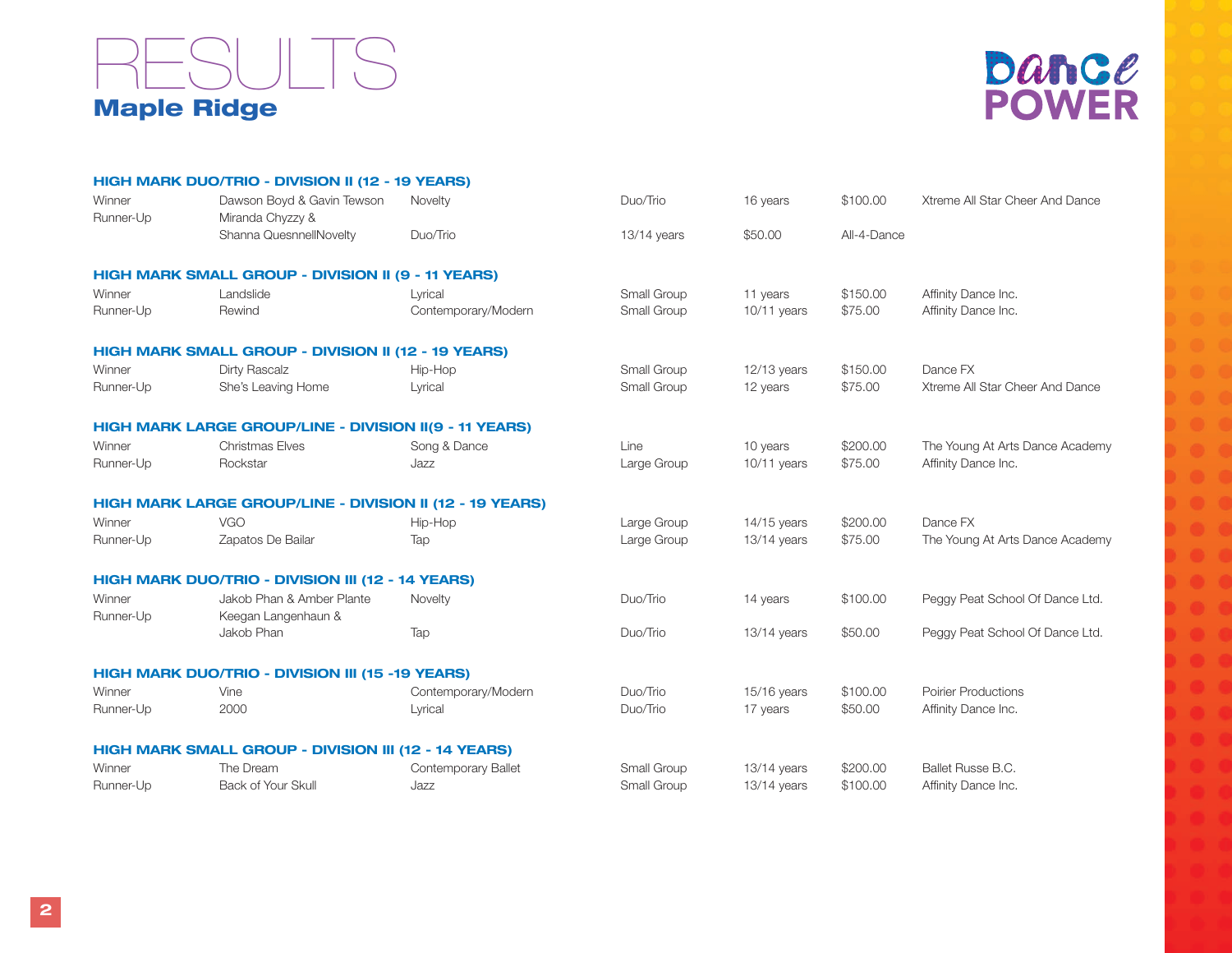### Maple Ridge RESULTS



|                     | HIGH MARK DUO/TRIO - DIVISION II (12 - 19 YEARS)                |                            |               |               |             |                                 |
|---------------------|-----------------------------------------------------------------|----------------------------|---------------|---------------|-------------|---------------------------------|
| Winner              | Dawson Boyd & Gavin Tewson                                      | Novelty                    | Duo/Trio      | 16 years      | \$100.00    | Xtreme All Star Cheer And Dance |
| Runner-Up           | Miranda Chyzzy &                                                |                            |               |               |             |                                 |
|                     | Shanna QuesnnellNovelty                                         | Duo/Trio                   | $13/14$ years | \$50.00       | All-4-Dance |                                 |
|                     | HIGH MARK SMALL GROUP - DIVISION II (9 - 11 YEARS)              |                            |               |               |             |                                 |
| Winner              | Landslide                                                       | Lyrical                    | Small Group   | 11 years      | \$150.00    | Affinity Dance Inc.             |
| Runner-Up           | Rewind                                                          | Contemporary/Modern        | Small Group   | $10/11$ years | \$75.00     | Affinity Dance Inc.             |
|                     | HIGH MARK SMALL GROUP - DIVISION II (12 - 19 YEARS)             |                            |               |               |             |                                 |
| Winner              | Dirty Rascalz                                                   | Hip-Hop                    | Small Group   | $12/13$ years | \$150.00    | Dance FX                        |
| Runner-Up           | She's Leaving Home                                              | Lyrical                    | Small Group   | 12 years      | \$75.00     | Xtreme All Star Cheer And Dance |
|                     | HIGH MARK LARGE GROUP/LINE - DIVISION II(9 - 11 YEARS)          |                            |               |               |             |                                 |
| Winner              | <b>Christmas Elves</b>                                          | Song & Dance               | Line          | 10 years      | \$200.00    | The Young At Arts Dance Academy |
| Runner-Up           | Rockstar                                                        | Jazz                       | Large Group   | $10/11$ years | \$75.00     | Affinity Dance Inc.             |
|                     | <b>HIGH MARK LARGE GROUP/LINE - DIVISION II (12 - 19 YEARS)</b> |                            |               |               |             |                                 |
| Winner              | <b>VGO</b>                                                      | Hip-Hop                    | Large Group   | $14/15$ years | \$200.00    | Dance FX                        |
| Runner-Up           | Zapatos De Bailar                                               | Tap                        | Large Group   | 13/14 years   | \$75.00     | The Young At Arts Dance Academy |
|                     | HIGH MARK DUO/TRIO - DIVISION III (12 - 14 YEARS)               |                            |               |               |             |                                 |
| Winner<br>Runner-Up | Jakob Phan & Amber Plante<br>Keegan Langenhaun &                | Novelty                    | Duo/Trio      | 14 years      | \$100.00    | Peggy Peat School Of Dance Ltd. |
|                     | Jakob Phan                                                      | Tap                        | Duo/Trio      | $13/14$ years | \$50.00     | Peggy Peat School Of Dance Ltd. |
|                     | HIGH MARK DUO/TRIO - DIVISION III (15 -19 YEARS)                |                            |               |               |             |                                 |
| Winner              | Vine                                                            | Contemporary/Modern        | Duo/Trio      | 15/16 years   | \$100.00    | <b>Poirier Productions</b>      |
| Runner-Up           | 2000                                                            | Lyrical                    | Duo/Trio      | 17 years      | \$50.00     | Affinity Dance Inc.             |
|                     | <b>HIGH MARK SMALL GROUP - DIVISION III (12 - 14 YEARS)</b>     |                            |               |               |             |                                 |
| Winner              | The Dream                                                       | <b>Contemporary Ballet</b> | Small Group   | 13/14 years   | \$200.00    | Ballet Russe B.C.               |
| Runner-Up           | Back of Your Skull                                              | Jazz                       | Small Group   | 13/14 years   | \$100.00    | Affinity Dance Inc.             |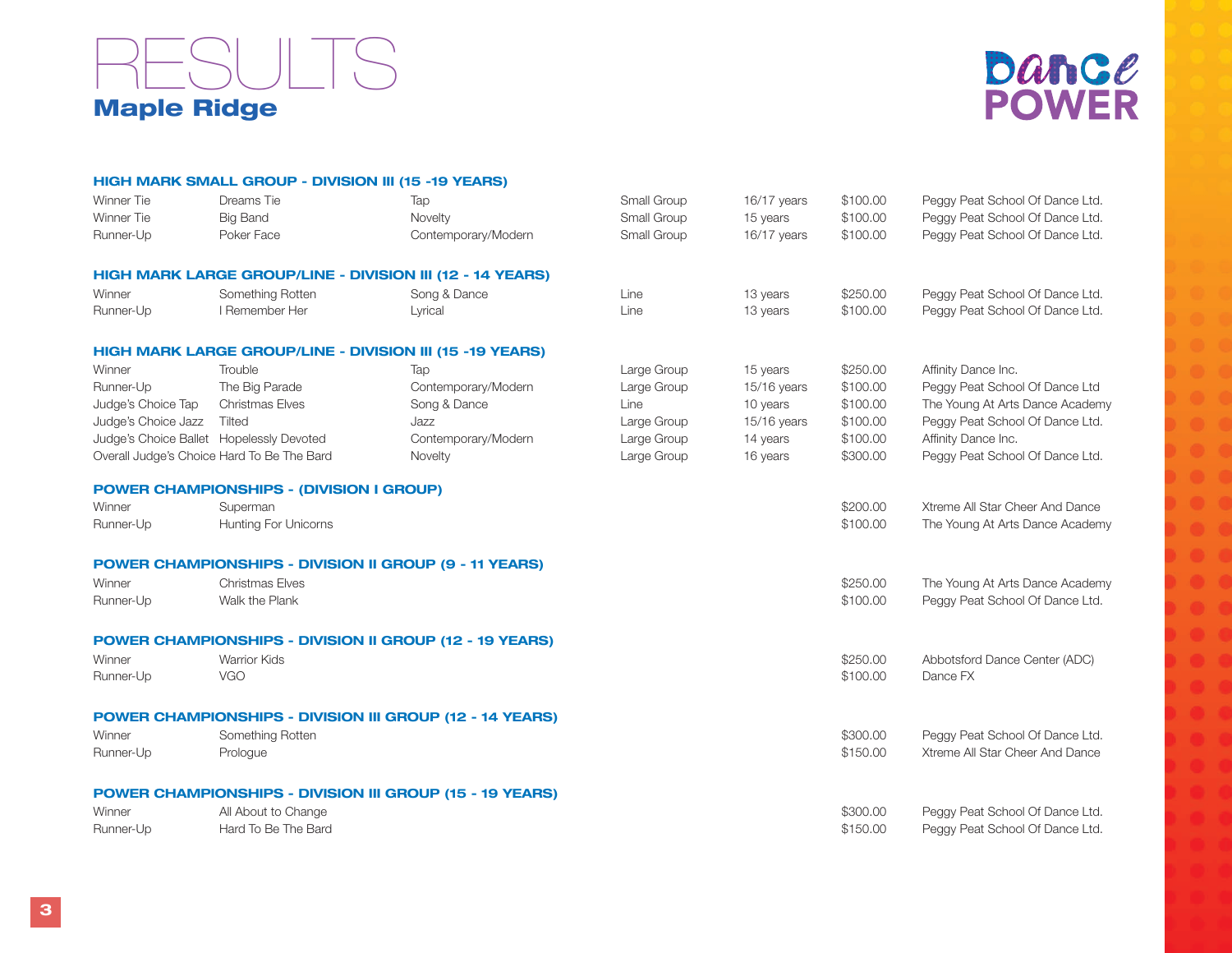### Maple Ridge RESULTS



|                                          | HIGH MARK SMALL GROUP - DIVISION III (15 -19 YEARS) |                                                                 |             |             |          |                                 |
|------------------------------------------|-----------------------------------------------------|-----------------------------------------------------------------|-------------|-------------|----------|---------------------------------|
| Winner Tie                               | Dreams Tie                                          | Tap                                                             | Small Group | 16/17 years | \$100.00 | Peggy Peat School Of Dance Ltd. |
| Winner Tie                               | <b>Big Band</b>                                     | Novelty                                                         | Small Group | 15 years    | \$100.00 | Peggy Peat School Of Dance Ltd. |
| Runner-Up                                | Poker Face                                          | Contemporary/Modern                                             | Small Group | 16/17 years | \$100.00 | Peggy Peat School Of Dance Ltd. |
|                                          |                                                     | HIGH MARK LARGE GROUP/LINE - DIVISION III (12 - 14 YEARS)       |             |             |          |                                 |
| Winner                                   | Something Rotten                                    | Song & Dance                                                    | Line        | 13 years    | \$250.00 | Peggy Peat School Of Dance Ltd. |
| Runner-Up                                | I Remember Her                                      | Lyrical                                                         | Line        | 13 years    | \$100.00 | Peggy Peat School Of Dance Ltd. |
|                                          |                                                     | HIGH MARK LARGE GROUP/LINE - DIVISION III (15 -19 YEARS)        |             |             |          |                                 |
| Winner                                   | Trouble                                             | Tap                                                             | Large Group | 15 years    | \$250.00 | Affinity Dance Inc.             |
| Runner-Up                                | The Big Parade                                      | Contemporary/Modern                                             | Large Group | 15/16 years | \$100.00 | Peggy Peat School Of Dance Ltd  |
| Judge's Choice Tap                       | <b>Christmas Elves</b>                              | Song & Dance                                                    | Line        | 10 years    | \$100.00 | The Young At Arts Dance Academy |
| Judge's Choice Jazz                      | Tilted                                              | Jazz                                                            | Large Group | 15/16 years | \$100.00 | Peggy Peat School Of Dance Ltd. |
| Judge's Choice Ballet Hopelessly Devoted |                                                     | Contemporary/Modern                                             | Large Group | 14 years    | \$100.00 | Affinity Dance Inc.             |
|                                          | Overall Judge's Choice Hard To Be The Bard          | Novelty                                                         | Large Group | 16 years    | \$300.00 | Peggy Peat School Of Dance Ltd. |
|                                          | <b>POWER CHAMPIONSHIPS - (DIVISION I GROUP)</b>     |                                                                 |             |             |          |                                 |
| Winner                                   | Superman                                            |                                                                 |             |             | \$200.00 | Xtreme All Star Cheer And Dance |
| Runner-Up                                | Hunting For Unicorns                                |                                                                 |             |             | \$100.00 | The Young At Arts Dance Academy |
|                                          |                                                     | <b>POWER CHAMPIONSHIPS - DIVISION II GROUP (9 - 11 YEARS)</b>   |             |             |          |                                 |
| Winner                                   | <b>Christmas Elves</b>                              |                                                                 |             |             | \$250.00 | The Young At Arts Dance Academy |
| Runner-Up                                | Walk the Plank                                      |                                                                 |             |             | \$100.00 | Peggy Peat School Of Dance Ltd. |
|                                          |                                                     | POWER CHAMPIONSHIPS - DIVISION II GROUP (12 - 19 YEARS)         |             |             |          |                                 |
| Winner                                   | <b>Warrior Kids</b>                                 |                                                                 |             |             | \$250.00 | Abbotsford Dance Center (ADC)   |
| Runner-Up                                | VGO                                                 |                                                                 |             |             | \$100.00 | Dance FX                        |
|                                          |                                                     | <b>POWER CHAMPIONSHIPS - DIVISION III GROUP (12 - 14 YEARS)</b> |             |             |          |                                 |
| Winner                                   | Something Rotten                                    |                                                                 |             |             | \$300.00 | Peggy Peat School Of Dance Ltd. |
| Runner-Up                                | Prologue                                            |                                                                 |             |             | \$150.00 | Xtreme All Star Cheer And Dance |
|                                          |                                                     | <b>POWER CHAMPIONSHIPS - DIVISION III GROUP (15 - 19 YEARS)</b> |             |             |          |                                 |
| Winner                                   | All About to Change                                 |                                                                 |             |             | \$300.00 | Peggy Peat School Of Dance Ltd. |
| Runner-Up                                | Hard To Be The Bard                                 |                                                                 |             |             | \$150.00 | Peggy Peat School Of Dance Ltd. |